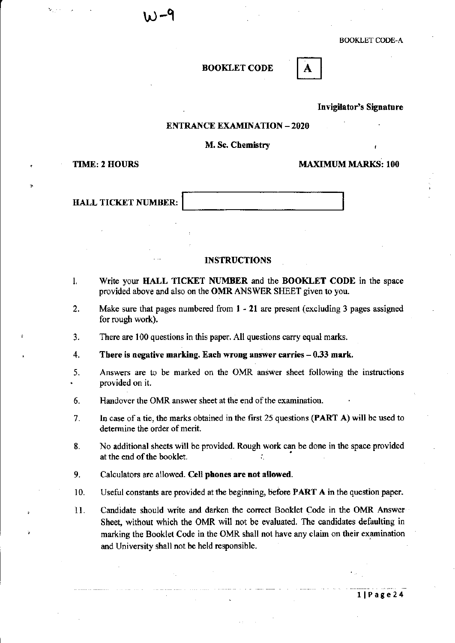#### BOOKLET CODE

Invigilator's Signature

A

#### ENTRANCE EXAMINATION -2020

#### M. Sc. Chemistry

TIME: 2 HOURS MAXIMUM MARKS: 100

HALL TICKET NUMBER:

#### INSTRUCTIONS

- I. Write your HALL TICKET NUMBER and the BOOKLET CODE in the space provided above and also on the OMR ANSWER SHEET given to you.
- 2. Make sure that pages numbered from 1 21 are present (excluding 3 pages assigned for rough work).
- 3. There are 100 questions in this paper. All questions carry equal marks.
- 4. There is negative marking. Each wrong answer carries  $-0.33$  mark.
- 5. Answers are to be marked on the OMR answer sheet following the instructions provided on it.
- 6. Handover the OMR answer sheet at the end of the examination.
- 7. In case of a tie, the marks obtained in the first 25 questions (PART A) will be used to determine the order of merit.
- 8. No additional sheets will be provided. Rough work can be done in the space provided at the end of the booklet.
- 9. Calculators are allowed. Cell phones are not allowed.
- 10. Useful constants are provided at the beginning, before PART A in the question paper.
- 11. Candidate should write and darken the correct Booklet Code in the OMR Answer Sheet, without which the OMR will not be evaluated. The candidates defaulting in marking the Booklet Code in the OMR shall not have any claim on their examination and University shall not be held responsible.

liPage24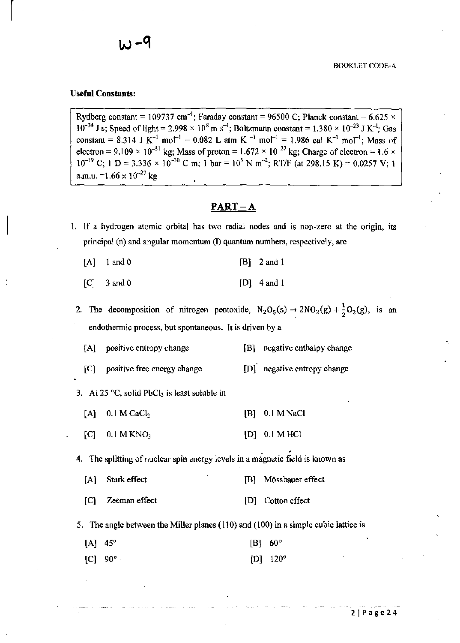#### Useful Constants:

 $\vert$ 

Rydberg constant = 109737 cm<sup>-1</sup>; Faraday constant = 96500 C; Planck constant = 6.625  $\times$  $10^{-34}$  J s; Speed of light = 2.998  $\times$  10<sup>8</sup> m s<sup>-1</sup>; Boltzmann constant = 1.380  $\times$  10<sup>-23</sup> J K<sup>-1</sup>; Gas constant = 8.314 J K<sup>-1</sup> mol<sup>-1</sup> = 0.082 L atm K<sup>-1</sup> mol<sup>-1</sup> = 1.986 cal K<sup>-1</sup> mol<sup>-1</sup>; Mass of electron = 9.109  $\times$  10<sup>-31</sup> kg; Mass of proton = 1.672  $\times$  10<sup>-27</sup> kg; Charge of electron = 1.6  $\times$  $10^{-19}$  C; 1 D = 3.336 ×  $10^{-30}$  C m; 1 bar =  $10^5$  N m<sup>-2</sup>; RT/F (at 298.15 K) = 0.0257 V; 1 a.m.u. =1.66  $\times$  10<sup>-27</sup> kg

## $PART-A$

- 1. If a hydrogen atomic orbital has two radial nodes and is non-zero at the origin, its principal (n) and angular momentum (I) quantum numbers, respectively, are
	- $[A]$  1 and 0 [B] 2 and 1
	- $[C]$  3 and 0 [D] 4 and 1
	- 2. The decomposition of nitrogen pentoxide,  $N_2O_5(s) \rightarrow 2NO_2(g) + \frac{1}{2}O_2(g)$ , is an endothennic process, but spontaneous. It is driven by a
		- [A] positive entropy change [B] negative enthalpy change
		- [C] positive free energy change [D] negative entropy change

3. At 25 °C, solid PbCl<sub>2</sub> is least soluble in

- $[A]$  0.1 M CaCl<sub>2</sub> [B] 0.1 M NaCl
- $[C]$  0.1 M KNO<sub>3</sub> [D] 0.1 M HCl

• 4. The splitting of nuclear spin energy levels in a magnetic field is known as

- [A] Stark effect [B] Mössbauer effect
- [C] Zeeman effect [Dj Cotton effect

5. The angle between the Miller planes (110) and (100) in a simple cubic lattice is

| $[A]$ 45° |           | $[B]$ 60° |            |
|-----------|-----------|-----------|------------|
|           | $[C]$ 90° |           | $[D]$ 120° |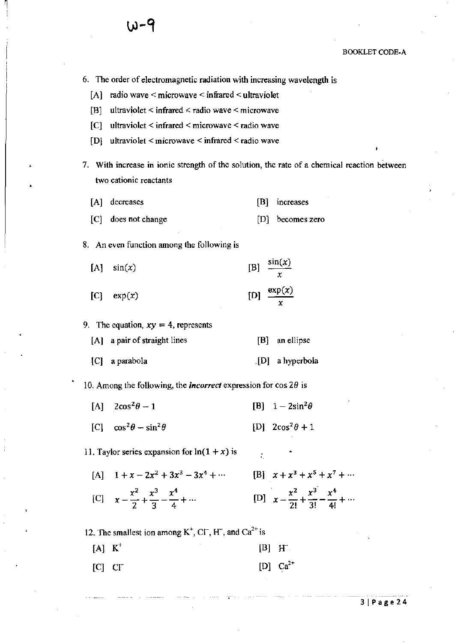

6. The order of electromagnetic radiation with increasing wavelength is

[A] radio wave < microwave < infrared < ultraviolet

[B] ultraviolet  $\leq$  infrared  $\leq$  radio wave  $\leq$  microwave

[C] ultraviolet < infrared < microwave < radio wave

 $[D]$  ultraviolet < microwave < infrared < radio wave

7. With increase in ionic strength of the solution, the rate of a chemical reaction between two cationic reactants

[A] decreases [B] increases

[C] does not change [D] becomes zero

8. An even function among the following is

| $[A]$ $sin(x)$  | [B] $\frac{\sin(x)}{x}$  |
|-----------------|--------------------------|
| $[C]$ exp $(x)$ | $[D]$ $\frac{\exp(x)}{}$ |

#### 9. The equation,  $xy = 4$ , represents

| $[A]$ a pair of straight lines | [B] an ellipse  |
|--------------------------------|-----------------|
| [C] a parabola                 | [D] a hyperbola |

10. Among the following, the *incorrect* expression for cos 29 is

| [A] $2\cos^2\theta - 1$ |  | [B] $1-2\sin^2\theta$ |
|-------------------------|--|-----------------------|
|                         |  |                       |

[C]  $\cos^2 \theta - \sin^2 \theta$  [D]  $2\cos^2 \theta + 1$ 

11. Taylor series expansion for  $ln(1 + x)$  is •

 $[A]$  1 +  $x - 2x^2 + 3x^3 - 3x^4 + \cdots$  [B]  $x + x^3 + x^5 + x^7 + \cdots$ [C]  $x - \frac{x^2}{2} + \frac{x^3}{3} - \frac{x^4}{4} + \cdots$  [D]  $x - \frac{x^2}{2!} + \frac{x^3}{3!} - \frac{x^4}{4!} + \cdots$ 

12. The smallest ion among  $K^+$ , C $\Gamma$ , H $\tilde{\ }$ , and Ca<sup>2+</sup> is

| $[A] K^+$    |  |  |  | $[B]$ H       |
|--------------|--|--|--|---------------|
| $[C]$ $CI^-$ |  |  |  | [D] $Ca^{2+}$ |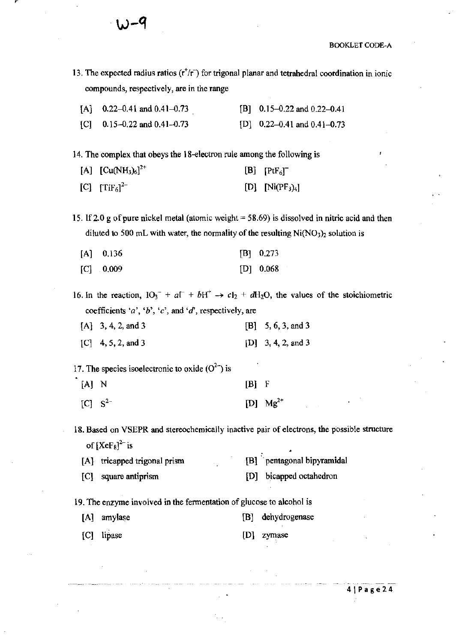- 13. The expected radius ratios  $(r^+/r^-)$  for trigonal planar and tetrahedral coordination in ionic compounds, respectively, are in the range
	- $[A]$  0.22–0.41 and 0.41–0.73  $[C]$  0.15-0.22 and 0.41-0.73 [B]  $0.15-0.22$  and  $0.22-0.41$  $[D]$  0.22-0.41 and 0.41-0.73

14. The complex that obeys the 18-electron rule among the following is

| [A] $[Cu(NH_3)_6]^{2+}$ | $[B]$ $[PtF_6]^-$  |
|-------------------------|--------------------|
| [C] $[TiF_6]^{2-}$      | [D] $[Ni(PF_3)_4]$ |

15. If 2.0 g of pure nickel metal (atomic weight = 58.69) is dissolved in nitric acid and then diluted to 500 mL with water, the normality of the resulting  $Ni(NO<sub>3</sub>)<sub>2</sub>$  solution is

| $[A]$ 0.136 | $[B]$ 0.273 |
|-------------|-------------|
| $[C]$ 0.009 | $[D]$ 0.068 |

16. In the reaction,  $10_3^- + a^- + bH^+ \rightarrow cI_2 + dH_2O$ , the values of the stoichiometric coefficients *'a',* 'b', *'e',* and 'd', respectively, are

| $[A]$ 3, 4, 2, and 3 | $[B] \quad 5, 6, 3, \text{ and } 3$ |
|----------------------|-------------------------------------|
| $[C]$ 4, 5, 2, and 3 | [D] $3, 4, 2,$ and 3                |

17. The species isoelectronic to oxide  $(O^{2-})$  is

| $[A]$ N        | $[B]$ F |               |
|----------------|---------|---------------|
| $[C]$ $S^{2-}$ |         | [D] $Mg^{2+}$ |

1&. Based on VSEPR and stereochemically inactive pair of electrons, the possible structure of  $[XeF_8]^2$  is

| $V1$ $V2$ $V3$ $V4$ |                              |  |  |                            |  |  |
|---------------------|------------------------------|--|--|----------------------------|--|--|
|                     | [A] tricapped trigonal prism |  |  | [B] pentagonal bipyramidal |  |  |
|                     | [C] square antiprism         |  |  | [D] bicapped octahedron    |  |  |

19. The enzyme involved in the fermentation of glucose to alcohol is

| [A] amylase | [B] dehydrogenase |
|-------------|-------------------|
| [C] lipase  | [D] zymase        |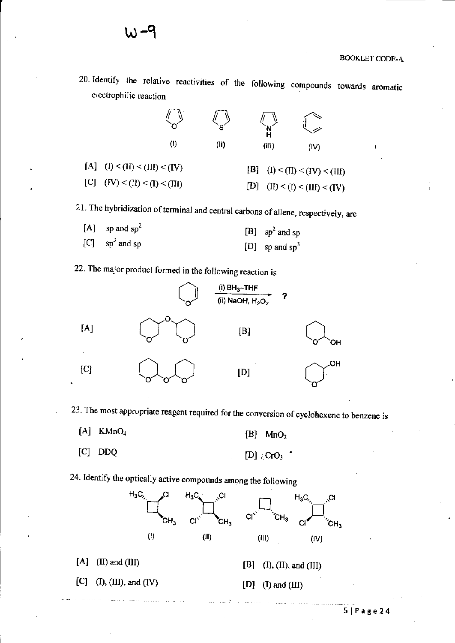**20, Identify the relative reactivities of the following compounds towards aromatic electrophilic reaction** 

|                                 |     | e.   |       |                                 |
|---------------------------------|-----|------|-------|---------------------------------|
|                                 | (!) | (II) | (III) | (IV)                            |
| [A] $(l) < (II) < (III) < (IV)$ |     |      |       | [B] $(I) < (II) < (IV) < (III)$ |
| [C] $(IV) < (II) < (I) < (III)$ |     |      | [D]   | (II) < (I) < (III) < (IV)       |

**21. The hybridization** of terminal **and central carbons of allene, respectively, are** 

 $[A]$  sp and sp<sup>2</sup>  $[C]$  sp<sup>3</sup> and sp [B]  $sp^2$  and sp [D] sp and  $sp<sup>3</sup>$ 

**22. The major product formed in the following reaction is** 

**w-9** 



**23. The most appropriate reagent required for the conversion of cyclohexene to benzene is** 

- $[A]$  KMnO<sub>4</sub>  $[B]$  MnO<sub>2</sub>
- [C] OOQ  $[D]$  :  $CrO_3$

**24. Identify the optically active compounds among the following** 

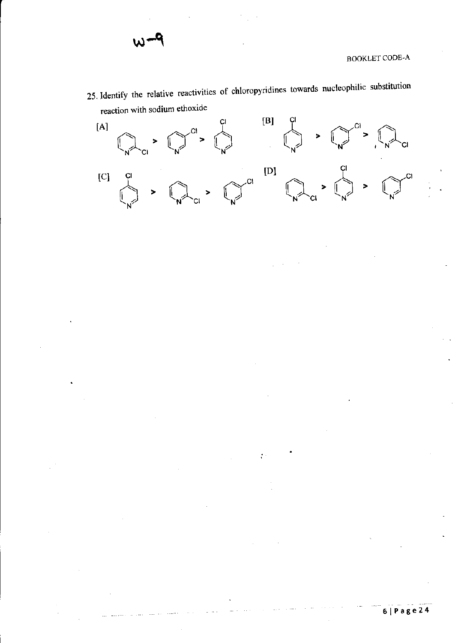**25. Identify the relative reactivities of chloropyridines towards nucleophilic substitution reaction with sodium ethoxide** 



**61Page24**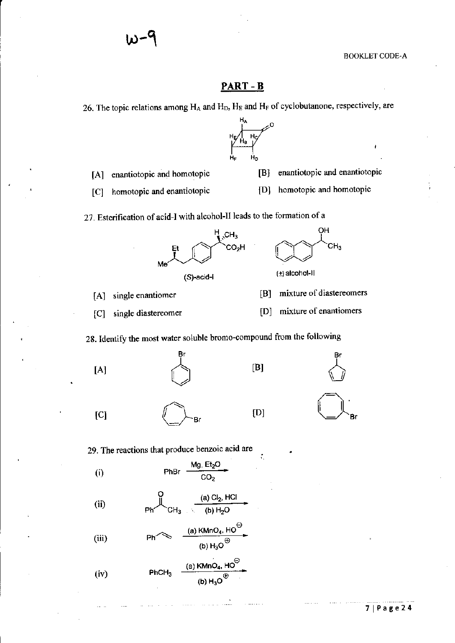$\mathbf{r}$ 

### PART-B

26. The topic relations among  $H_A$  and  $H_D$ ,  $H_E$  and  $H_F$  of cyclobutanone, respectively, are



- [A] enantiotopic and homotopic
- [BJ enantiotopic and enantiotopic

OH

CH3

[C] homotopic and enantiotopic

[D] homotopic and homotopic

27. Esterification of acid-I with alcohol-II leads to the fonnation of a



(S)-acid-I

[A] single enantiomer

- [8] mixture of diastereomers
- [C] single diastereomer [D] mixture of enantiomers

28. Identify the most water soluble bromo-compound from the following

[AJ

 $[C]$   $\bigoplus$ -Br



[BJ

[DJ

.  $\varepsilon \rightarrow 0$ 

•



29. The reactions that produce benzoic acid are

Mg,  $Et<sub>2</sub>O$ (i) PhBr  $\overline{\text{co}_2}$ 

(ii) (a) CI,. HCI (b) H,O

(iii) 
$$
Ph \leftarrow
$$
  $\xrightarrow{\text{(a) KMnO}_4, HO^{\ominus}}$   
(b)  $H_3O^{\oplus}$ 

(iv) 
$$
\begin{array}{ccc}\n\text{(iv)} & \text{PhCH}_3 & \xrightarrow{\text{(a) KMnO_4, HO}^{\bigcirc}} \\
\text{(b) H}_3O^{\bigcirc}\n\end{array}
$$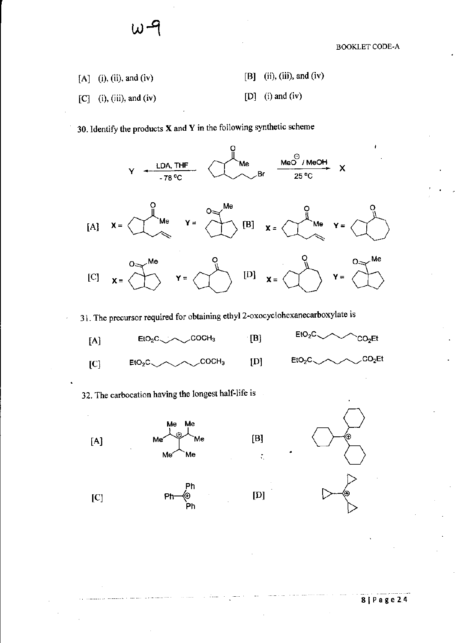$[A]$  (i), (ii), and (iv)  $[C]$  (i), (iii), and (iv)  $[B]$  (ii), (iii), and (iv) [D] (i) and (iv)

**30. Identify the products X and Y in the following synthetic scheme** 



**31. The precursor required for obtaining ethyl 2-oxocyclohexanecarboxylate is** 



[D]

**32. The carbocation having the longest half-life is** 

Me Me









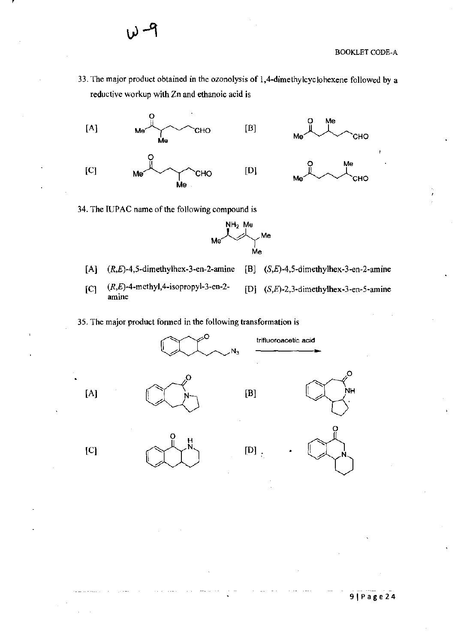33. **The major product obtained in the ozonolysis of l,4-dimethylcyclohexene followed by a reductive workup with Zn and ethanoic acid is** 



**34. The IUPAC name** of the **following compound is** 



[AJ  $(R,E)$ -4,5-dimethylhex-3-en-2-amine [BJ (S,E)-4,5-dimethylhex-3-en-2-amine

[C]  $(R,E)$ -4-methyl, 4-isopropyl-3-en-2**amine** 

[D]  $(S,E)$ -2,3-dimethylhex-3-en-5-amine

35. **The major product fonned in the following transformation is** 



 $\begin{pmatrix} 1 & 0 & 0 \\ 0 & 0 & 0 \end{pmatrix}$ 



O

**91Page24**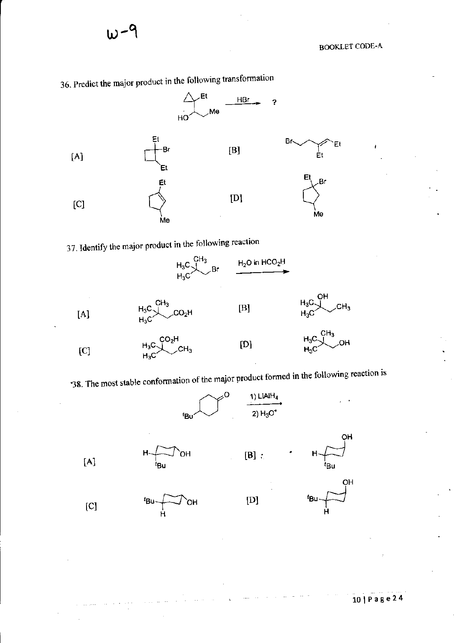

**36. Predict the major product in the following transfonnation** 

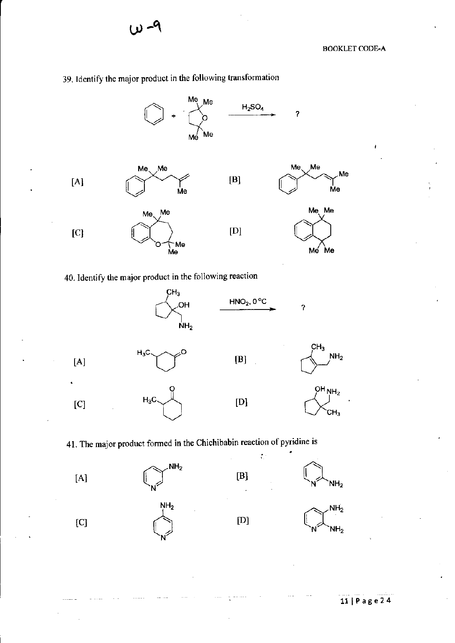# 39. Identify the major product in the following transformation





#### 41. The major product fonned in the Chichibabin reaction of pyridine is

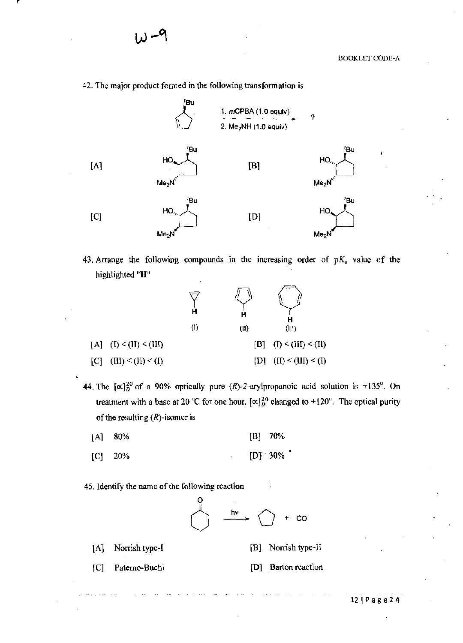42. The major product formed in the following transformation is



43. Arrange the following compounds in the increasing order of  $pK_a$  value of the highlighted "H"



44. The  $[\alpha]_D^{20}$  of a 90% optically pure (R)-2-arylpropanoic acid solution is +135°. On treatment with a base at 20 °C for one hour,  $[\alpha]_{D}^{20}$  changed to +120°. The optical purity of the resulting  $(R)$ -isomer is

| $[A]$ 80% |  | $[B]$ 70% |
|-----------|--|-----------|
|-----------|--|-----------|

 $[C]$  20%  $[D]$  30%

45. Identify the name of the following reaction

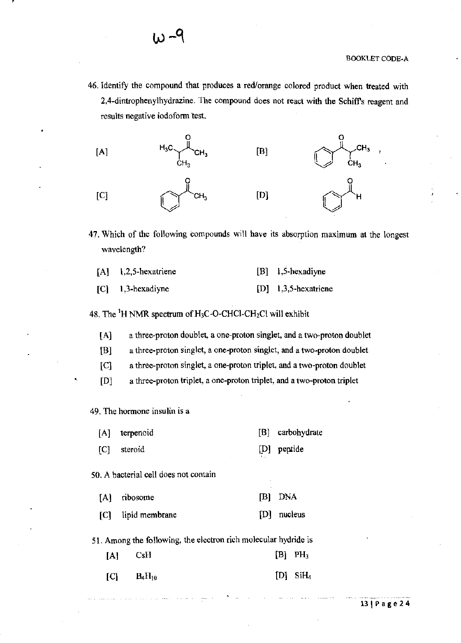**46. Identify the compound that produces a red/orange colored product when treated with 2,4-dintrophenylhydrazine. The compound does not react with the Schiffs reagent and**  results negative iodoform test.



**47. Which of the following compounds will have its absorption maximum at the longest wavelength?** 

| $[A]$ 1,2,5-hexatriene | $[B] \quad 1, 5$ -hexadiyne |
|------------------------|-----------------------------|
| $[C]$ 1,3-hexadiyne    | $[D]$ 1,3,5-hexatriene      |

48. The  ${}^{1}H$  NMR spectrum of H<sub>3</sub>C-O-CHCl-CH<sub>2</sub>Cl will exhibit

**[A] a three-proton doublet, a one-proton singlet, and a two-proton doublet** 

**[B] a three-proton singlet, a one-proton singlet, and a two-proton doublet** 

**[C] a three-proton singlet, a one-proton triplet, and a two-proton doublet** 

**[0] a three-proton triplet, a one-proton triplet, and a two-proton triplet** 

**49. The hormone insulin is a** 

- [A] terpenoid [B] carbohydrate
- [C] steroid lD] peptide

**50. A bacterial cell does not contain** 

| [A] ribosome       | [B] DNA     |
|--------------------|-------------|
| [C] lipid membrane | [D] nucleus |

**51. Among the following, the electron rich molecular hydride is** 

| $[A]$ CsH |                   | $[B]$ PH <sub>3</sub>  |
|-----------|-------------------|------------------------|
|           | $[C]$ $B_4H_{10}$ | $[D]$ SiH <sub>4</sub> |

-- ---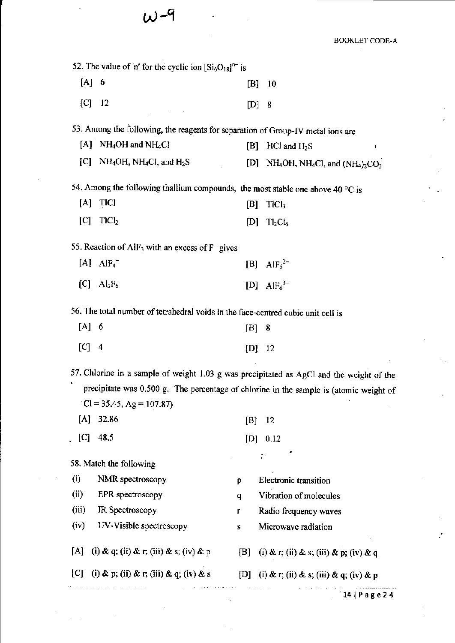# **W-9**

**BOOKLET CODE-A** 

|         | 52. The value of 'n' for the cyclic ion $\left[Si_6O_{18}\right]^{n}$ is                |     |                                                                                          |
|---------|-----------------------------------------------------------------------------------------|-----|------------------------------------------------------------------------------------------|
| $[A]$ 6 |                                                                                         | [B] | 10                                                                                       |
| [C]     | -12                                                                                     | [D] | 8                                                                                        |
|         | 53. Among the following, the reagents for separation of Group-IV metal ions are         |     |                                                                                          |
|         | [A] NH <sub>4</sub> OH and NH <sub>4</sub> Cl                                           | [B] | $HCI$ and $H_2S$<br>Ł                                                                    |
|         | [C] NH <sub>4</sub> OH, NH <sub>4</sub> Cl, and $H_2S$                                  |     | [D] NH <sub>4</sub> OH, NH <sub>4</sub> Cl, and $(NH4)2CO3$                              |
|         | 54. Among the following thallium compounds, the most stable one above 40 $\degree$ C is |     |                                                                                          |
| [A]     | <b>TICI</b>                                                                             | [B] | TICI <sub>3</sub>                                                                        |
| [C]     | TICl <sub>2</sub>                                                                       | [D] | $Tl_2Cl_6$                                                                               |
|         | 55. Reaction of AlF <sub>3</sub> with an excess of $F^-$ gives                          |     |                                                                                          |
|         | $[A]$ AlF <sub>4</sub>                                                                  |     | [B] $AlF_5^{2-}$                                                                         |
| [C]     | $\text{Al}_2\text{F}_6$                                                                 |     | [D] $AlF_6^{3-}$                                                                         |
|         | 56. The total number of tetrahedral voids in the face-centred cubic unit cell is        |     |                                                                                          |
| $[A]$ 6 |                                                                                         | [B] | 8                                                                                        |
| $[C]$ 4 |                                                                                         |     | $[D]$ 12                                                                                 |
|         |                                                                                         |     | 57. Chlorine in a sample of weight 1.03 g was precipitated as AgCl and the weight of the |
|         | $Cl = 35.45$ , Ag = 107.87)                                                             |     | precipitate was 0.500 g. The percentage of chlorine in the sample is (atomic weight of   |
| [A]     | 32.86                                                                                   | [B] | 12                                                                                       |
| [C]     | 48.5                                                                                    |     | $[D]$ 0.12                                                                               |
|         | 58. Match the following                                                                 |     |                                                                                          |
| (i)     | NMR spectroscopy                                                                        | p   | Electronic transition                                                                    |
| (ii)    | EPR spectroscopy                                                                        | q   | Vibration of molecules                                                                   |
| (iii)   | IR Spectroscopy                                                                         | r   | Radio frequency waves                                                                    |
| (iv)    | UV-Visible spectroscopy                                                                 | S   | Microwave radiation                                                                      |
| [A]     | (i) & q; (ii) & r; (iii) & s; (iv) & p                                                  |     | [B] (i) & r; (ii) & s; (iii) & p; (iv) & q                                               |
| C       | (i) & p; (ii) & r; (iii) & q; (iv) & s [D] (i) & r; (ii) & s; (iii) & q; (iv) & p       |     |                                                                                          |
|         |                                                                                         |     | 14   Page 24                                                                             |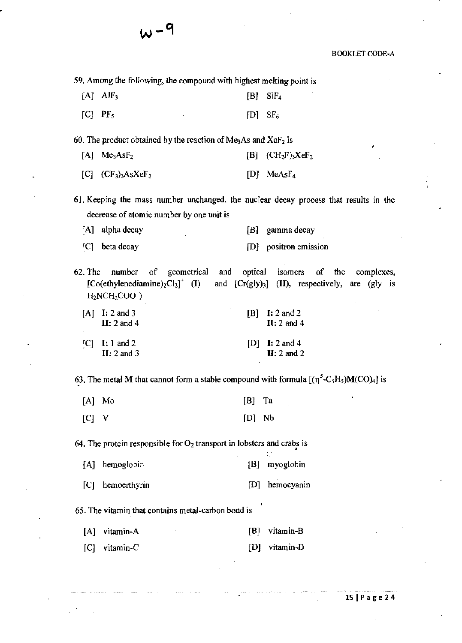**59. Among the following, the compound with highest melting point is** 

- $[A]$   $AlF_3$  [B]  $SiF_4$
- $[C]$  PF<sub>5</sub> [D] SF<sub>6</sub>

**w- 9** 

**60. The product obtained by the reaction of Me3As and XeF2 is** 

- $[A]$  Me<sub>3</sub>AsF<sub>2</sub> [B] (CH<sub>2</sub>F)<sub>3</sub>XeF<sub>2</sub>
- $[C]$   $(CF_3)_3AsXeF_2$  [D] MeAsF<sub>4</sub>

**61. Keeping the mass number unchanged, the nuclear decay process that results in the decrease of atomic number by one unit is** 

[A] alpha decay [BJ gamma decay

- [C] beta decay **[OJ positron emission**
- **62. The number of geometrical**   $[Co(ethylenediamine)<sub>2</sub>Cl<sub>2</sub>]<sup>+</sup>$  (I)  $H<sub>2</sub>NCH<sub>2</sub>COO$ **and optical**  and [Cr(gIY)3J **(II), respectively,**  are (gly is **isomers** of **complexes,**

| $[A]$ I: 2 and 3<br>$II: 2$ and 4        | $[B]$ I: 2 and 2<br>$II: 2$ and 4        |
|------------------------------------------|------------------------------------------|
| $ C $ <b>I:</b> 1 and 2<br>$II: 2$ and 3 | [D] I: 2 and 4<br>$\mathbf{H}$ : 2 and 2 |

63. The metal M that cannot form a stable compound with formula  $[(\eta^5-C_5H_5)M(CO)_4]$  is

W

|         | [A] Mo | $[B]$ Ta |  |
|---------|--------|----------|--|
| $[C]$ V |        | $[D]$ Nb |  |

**64. The protein responsible for 02 transport in lobsters and crabs is**  •

| [A] hemoglobin | [B] myoglobin |
|----------------|---------------|
|                |               |

[C] hemoerthyrin [D] hemocyanin

**65. The vitamin that contains metal-carbon bond is** 

| [A] vitamin-A |  |  | [B] vitamin-B |
|---------------|--|--|---------------|
|               |  |  |               |

[C] vitamin-C [DJ vitamin-D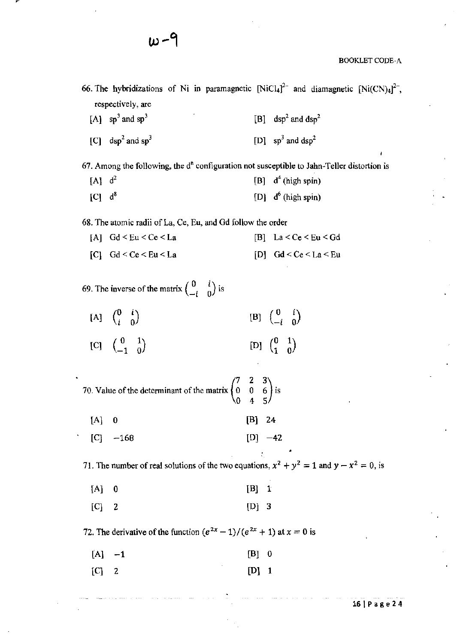66. The hybridizations of Ni in paramagnetic  $[NiCl<sub>4</sub>]<sup>2-</sup>$  and diamagnetic  $[Ni(CN)<sub>4</sub>]<sup>2-</sup>$ , **respectively, are** 

[A]  $sp^3$  and  $sp^3$  [B] dsp<sup>2</sup> and dsp<sup>2</sup> [C] dsp<sup>2</sup> and sp<sup>3</sup> [D]  $sp^3$  and dsp<sup>2</sup>

 $67.$  Among the following, the  $d<sup>n</sup>$  configuration not susceptible to Jahn-Teller distortion is

[A]  $d^2$  [B]  $d^4$  (high spin)  $[C]$  d<sup>8</sup> [D] d<sup>6</sup> (high spin)

**68. The atomic radii of La, Ce, Eu, and Gd follow the order** 

 $[A]$  **Gd**  $\leq$  **Eu**  $\leq$  **Ce**  $\leq$  **La**  $\leq$  **Ce**  $\leq$  **Cu**  $\leq$  **Cd**  $[C]$  **Gd**  $\leq$  **Ce**  $\leq$  **Eu**  $\leq$  **La**  $\leq$  **Ce**  $\leq$  **La**  $\leq$  **Ce**  $\leq$  **La**  $\leq$  **Eu** 

**69.** The inverse of the matrix  $\begin{pmatrix} 0 & i \\ -i & 0 \end{pmatrix}$  is

 $[A] \quad \begin{pmatrix} 0 & i \\ i & 0 \end{pmatrix} \qquad \qquad [B] \quad \begin{pmatrix} 0 & i \\ -i & 0 \end{pmatrix}$ [C]  $\begin{pmatrix} 0 & 1 \\ -1 & 0 \end{pmatrix}$  [D]  $\begin{pmatrix} 0 & 1 \\ 1 & 0 \end{pmatrix}$ 

70. Value of the determinant of the matrix  $\begin{pmatrix} 7 & 2 & 3 \\ 0 & 0 & 6 \end{pmatrix}$  is 4

 $[A] \quad 0$  [B] 24

 $[C]$  -168 [D] -42

**71.** The number of real solutions of the two equations,  $x^2 + y^2 = 1$  and  $y - x^2 = 0$ , is

•

| $[A]$ 0 | $[B]$ 1 |  |
|---------|---------|--|
| $[C]$ 2 | $[D]$ 3 |  |

**72.** The derivative of the function  $(e^{2x} - 1)/(e^{2x} + 1)$  at  $x = 0$  is

| $[A]$ $-1$ | $[B] \quad 0$ |  |
|------------|---------------|--|
| $[C]$ 2    | $[D]$ 1       |  |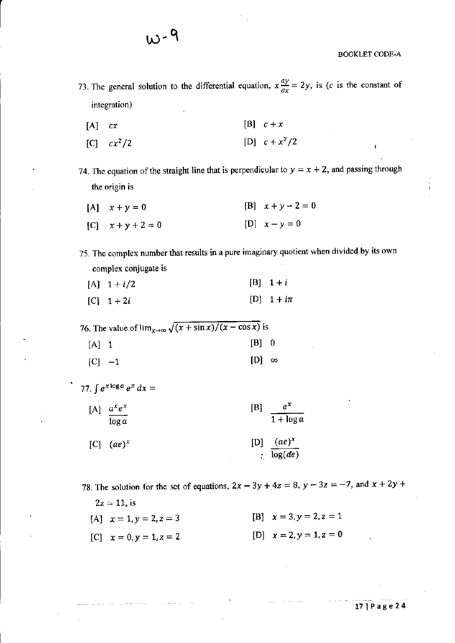- 73. The general solution to the differential equation,  $x \frac{dy}{dx} = 2y$ , is (c is the constant of integration)
	- [A] *ex*   $[B]$   $c + x$

W-9

 $[C]$   $cx^2/2$ [D]  $c + x^2/2$ 

74. The equation of the straight line that is perpendicular to  $y = x + 2$ , and passing through the origin is

- $[A]$   $x + y = 0$  $[C]$   $x + y + 2 = 0$  $[B]$   $x + y - 2 = 0$  $[D]$   $x - y = 0$
- 75. The complex number that results in a pure imaginary quotient when divided by its own complex conjugate is
	- $[A]$  1 + *i*/2  $[B] 1 + i$
	- $[C]$  1 + 2*i* [D] 1 + *in*

76. The value of  $\lim_{x\to\infty} \sqrt{(x + \sin x)/(x - \cos x)}$  is

 $[A]$  1 [B] 0  $[C]$  -1 [D]  $\infty$ 

77. 
$$
\int e^{x \log a} e^x dx =
$$

 $[A]$   $a^xe^x$  [B]  $e^x$  $\overline{\log a}$   $\overline{1 + \log a}$  $[C]$  *(ae)<sup>x</sup> [D] (ae)<sup>x</sup>*  $\cdot$   $\sqrt{\log(de)}$ 

78. The solution for the set of equations,  $2x - 3y + 4z = 8$ ,  $y - 3z = -7$ , and  $x + 2y +$ 

 $2z=11$ , is [A] *x=1,y=2,z=3*   $[C]$   $x = 0, y = 1, z = 2$ [B] *x=3,y=2,z=1*  [D]  $x = 2, y = 1, z = 0$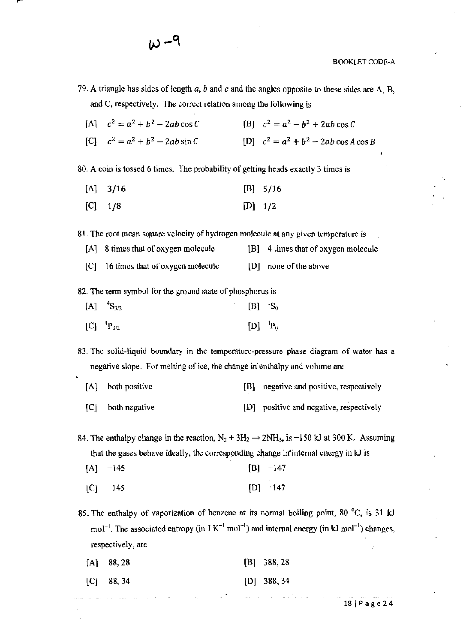- 79. A triangle has sides of length *a*, *b* and *c* and the angles opposite to these sides are A, B, and C, respectively. The correct relation among the following is
	- $[A]$   $c^2 = a^2 + b^2 2ab \cos C$  $[B]$   $c^2 = a^2 - b^2 + 2ab \cos C$
	- $[C]$   $c^2 = a^2 + b^2 2ab \sin C$  $[D]$   $c^2 = a^2 + b^2 - 2ab \cos A \cos B$

80. A coin is tossed 6 times. The probability of getting heads exactly 3 times is

- [A] 3/16 [BJ 5/16
- [C] 1/8  $[D]$  1/2

81. The root mean square velocity of hydrogen molecule at any given temperature is

- [AJ 8 times that of oxygen molecule [B] 4 times that of oxygen molecule
- [C] 16 times that of oxygen molecule [0] none of the above

82. The term symbol for the ground state of phosphorus is

| $[A]$ ${}^{4}S_{3/2}$        | $[{\rm B}]^{-1}{\rm S}_0$ |  |
|------------------------------|---------------------------|--|
| $[C]$ <sup>4</sup> $P_{3/2}$ | $[D]$ ${}^{1}P_{0}$       |  |

83. The solid-liquid boundary in the temperature-pressure phase diagram of water has a negative slope. For melting of ice, the change in enthalpy and volume are

- [A] both positive (B] negative and positive, respectively
- [C] both negative [D] positive and negative, respectively

84. The enthalpy change in the reaction,  $N_2 + 3H_2 \rightarrow 2NH_3$ , is -150 kJ at 300 K. Assuming that the gases behave ideally, the corresponding change in"internal energy in kJ is

- $[A]$  -145  $[B] -147$
- [C] 145 [D] 147

85. The enthalpy of vaporization of benzene at its normal boiling point, 80 °C, is 31 kJ mol<sup>-1</sup>. The associated entropy (in J K<sup>-1</sup> mol<sup>-1</sup>) and internal energy (in kJ mol<sup>-1</sup>) changes, respectively, are

| $[A]$ 88, 28 |   | $[B]$ 388, 28 |
|--------------|---|---------------|
| $[C]$ 88, 34 |   | $[D]$ 388, 34 |
|              | ۰ |               |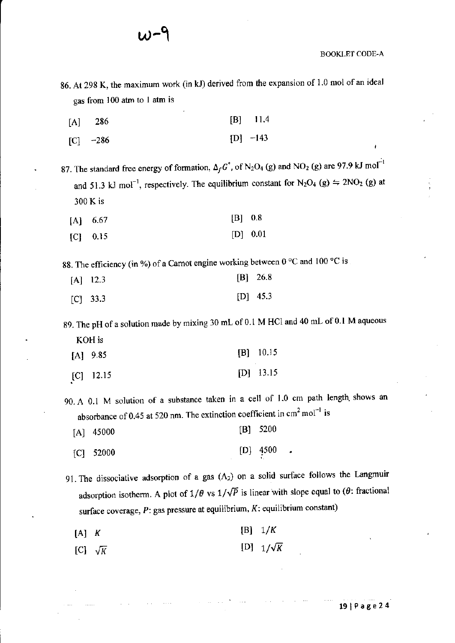$w$  $\cap$ 

BOOKLET CODE-A

- 86. At 298 K, the maximum work (in kJ) derived from the expansion of 1.0 mol of an ideal gas from 100 atm to I atm is
	- [A] 286 [BJ 11.4
	- $|C|$  -286  $[D] -143$

87. The standard free energy of formation,  $\Delta_f G^{\circ}$ , of  $N_2O_4$  (g) and NO<sub>2</sub> (g) are 97.9 kJ mol<sup>-1</sup> and 51.3 kJ mol<sup>-1</sup>, respectively. The equilibrium constant for  $N_2O_4$  (g)  $\Rightarrow$  2NO<sub>2</sub> (g) at 300 K is

| $[A]$ 6.67 | $[B]$ 0.8 |          |
|------------|-----------|----------|
| $[C]$ 0.15 |           | [D] 0.01 |

88. The efficiency (in %) of a Carnot engine working between  $0^{\circ}$ C and  $100^{\circ}$ C is

| $[A]$ 12.3 | $[B]$ 26.8 |
|------------|------------|
| $[C]$ 33.3 | $[D]$ 45.3 |

89. The pH of a solution made by mixing 30 mL of 0.1 M HCl and 40 mL of 0.1 M aqueous KOHis

| $[A]$ 9.85 |  |  |  | $[B]$ 10.15 |   |
|------------|--|--|--|-------------|---|
|            |  |  |  |             |   |
|            |  |  |  |             | . |

[C] 12.15 [DJ 13.15

90. A 0.1 M solution of a substance taken in a cell of 1.0 em path length, shows an absorbance of 0.45 at 520 nm. The extinction coefficient in  $cm<sup>2</sup> mol<sup>-1</sup>$  is

[AJ 45000 [BJ 5200

[C] 52000 [DJ 4500 •

91. The dissociative adsorption of a gas (A*2)* on a solid surface follows the Langmuir adsorption isotherm. A plot of  $1/\theta$  vs  $1/\sqrt{p}$  is linear with slope equal to ( $\theta$ : fractional surface coverage, *P:* gas pressure at equilibrium, *K:* equilibrium constant)

- $[A]$  K  $[B]$  1/K
- $[C]$   $\sqrt{K}$  $[D]$   $1/\sqrt{K}$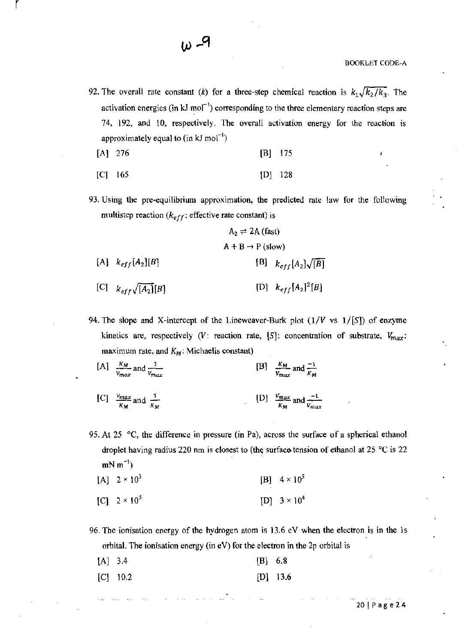92. The overall rate constant *(k)* for a three-step chemical reaction is  $k_1\sqrt{k_2/k_3}$ . The activation energies (in kJ mol<sup>-1</sup>) corresponding to the three elementary reaction steps are 74, 192, and lO, respectively. The overall activation energy for the reaction is approximately equal to (in  $kJ \text{ mol}^{-1}$ )

[A] 276 [B] 175

$$
[C] 165 \t [D] 128
$$

93. Using the pre-equilibrium approximation, the predicted rate law for the following multistep reaction  $(k<sub>eff</sub>)$ : effective rate constant) is

$$
A_2 \rightleftharpoons 2A \text{ (fast)}
$$
\n
$$
A + B \rightarrow P \text{ (slow)}
$$
\n
$$
[A] \quad k_{eff}[A_2][B] \qquad \qquad [B] \quad k_{eff}[A_2]\sqrt{[B]}
$$
\n
$$
[C] \quad k_{eff}\sqrt{[A_2][B]} \qquad \qquad [D] \quad k_{eff}[A_2]^2[B]
$$

- 94. The slope and X-intercept of the Lineweaver-Burk plot *(l/V* vs *1/[S])* of enzyme kinetics are, respectively *(V: reaction rate, [S]: concentration of substrate,*  $V_{max}$ *:* maximum rate, and  $K_M$ : Michaelis constant)
	- [A]  $\frac{K_M}{V_{max}}$  and  $\frac{1}{V_{max}}$ [C]  $\frac{V_{max}}{K_M}$  and  $\frac{1}{K_M}$ [B]  $\frac{K_M}{V_{max}}$  and  $\frac{-1}{K_M}$ [D]  $\frac{V_{max}}{K_M}$  and  $\frac{-1}{V_{max}}$
- 95. At 25 °C, the difference in pressure (in Pa), across the surface of a spherical ethanol droplet having radius 220 nm is closest to (the surface tension of ethanol at 25 °C is 22  $mN m^{-1}$ 
	- $[A]$  2 × 10<sup>3</sup>  $[C]$  2 × 10<sup>5</sup> [B]  $4 \times 10^5$  $[D]$  3 × 10<sup>4</sup>

96. The ionisation energy of the hydrogen atom is 13.6 eV when the electron is in the Is orbital. The ionisation energy (in eV) for the electron in the 2p orbital is

| $[A]$ 3.4 |            | $[B]$ 6.8 |            |
|-----------|------------|-----------|------------|
|           | $[C]$ 10.2 |           | $[D]$ 13.6 |